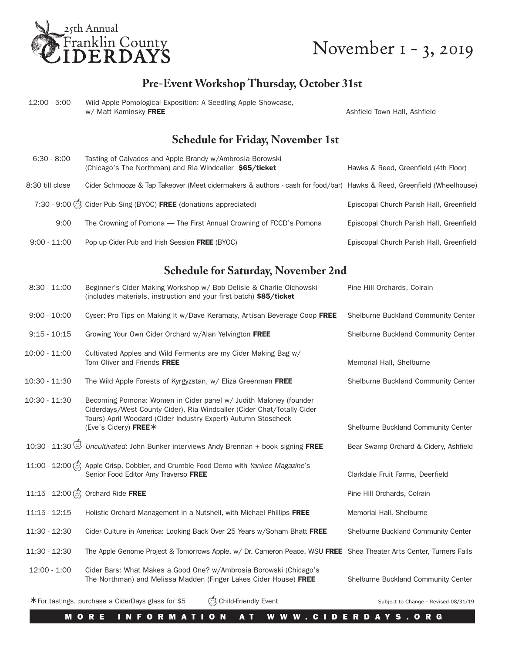

# November 1 - 3, 2019

## **Pre-Event Workshop Thursday, October 31st**

| Wild Apple Pomological Exposition: A Seedling Apple Showcase.<br>12:00 - 5:00<br>w/ Matt Kaminsky FREE |  | Ashfield Town Hall, Ashfield             |  |
|--------------------------------------------------------------------------------------------------------|--|------------------------------------------|--|
|                                                                                                        |  | <b>Schedule for Friday, November 1st</b> |  |

| $6:30 - 8:00$   | Tasting of Calvados and Apple Brandy w/Ambrosia Borowski<br>(Chicago's The Northman) and Ria Windcaller \$65/ticket  | Hawks & Reed, Greenfield (4th Floor)     |
|-----------------|----------------------------------------------------------------------------------------------------------------------|------------------------------------------|
| 8:30 till close | Cider Schmooze & Tap Takeover (Meet cidermakers & authors - cash for food/bar) Hawks & Reed, Greenfield (Wheelhouse) |                                          |
|                 | 7:30 - 9:00 Č Cider Pub Sing (BYOC) FREE (donations appreciated)                                                     | Episcopal Church Parish Hall, Greenfield |
| 9:00            | The Crowning of Pomona — The First Annual Crowning of FCCD's Pomona                                                  | Episcopal Church Parish Hall, Greenfield |
| $9:00 - 11:00$  | Pop up Cider Pub and Irish Session FREE (BYOC)                                                                       | Episcopal Church Parish Hall, Greenfield |

#### **Schedule for Saturday, November 2nd**

| $8:30 - 11:00$  | Beginner's Cider Making Workshop w/ Bob Delisle & Charlie Olchowski<br>(includes materials, instruction and your first batch) \$85/ticket                                                                                            | Pine Hill Orchards, Colrain           |
|-----------------|--------------------------------------------------------------------------------------------------------------------------------------------------------------------------------------------------------------------------------------|---------------------------------------|
| $9:00 - 10:00$  | Cyser: Pro Tips on Making It w/Dave Keramaty, Artisan Beverage Coop FREE                                                                                                                                                             | Shelburne Buckland Community Center   |
| $9:15 - 10:15$  | Growing Your Own Cider Orchard w/Alan Yelvington FREE                                                                                                                                                                                | Shelburne Buckland Community Center   |
| $10:00 - 11:00$ | Cultivated Apples and Wild Ferments are my Cider Making Bag w/<br>Tom Oliver and Friends FREE                                                                                                                                        | Memorial Hall, Shelburne              |
| 10:30 - 11:30   | The Wild Apple Forests of Kyrgyzstan, w/ Eliza Greenman FREE                                                                                                                                                                         | Shelburne Buckland Community Center   |
| 10:30 - 11:30   | Becoming Pomona: Women in Cider panel w/ Judith Maloney (founder<br>Ciderdays/West County Cider), Ria Windcaller (Cider Chat/Totally Cider<br>Tours) April Woodard (Cider Industry Expert) Autumn Stoscheck<br>(Eve's Cidery) FREE * | Shelburne Buckland Community Center   |
|                 | 10:30 - 11:30 Uncultivated: John Bunker interviews Andy Brennan + book signing FREE                                                                                                                                                  | Bear Swamp Orchard & Cidery, Ashfield |
|                 | 11:00 - 12:00 \$ Apple Crisp, Cobbler, and Crumble Food Demo with Yankee Magazine's<br>Senior Food Editor Amy Traverso FREE                                                                                                          | Clarkdale Fruit Farms, Deerfield      |
|                 | Orchard Ride FREE                                                                                                                                                                                                                    | Pine Hill Orchards, Colrain           |
| $11:15 - 12:15$ | Holistic Orchard Management in a Nutshell, with Michael Phillips FREE                                                                                                                                                                | Memorial Hall, Shelburne              |
| 11:30 - 12:30   | Cider Culture in America: Looking Back Over 25 Years w/Soham Bhatt FREE                                                                                                                                                              | Shelburne Buckland Community Center   |
| 11:30 - 12:30   | The Apple Genome Project & Tomorrows Apple, w/ Dr. Cameron Peace, WSU FREE Shea Theater Arts Center, Turners Falls                                                                                                                   |                                       |
| $12:00 - 1:00$  | Cider Bars: What Makes a Good One? w/Ambrosia Borowski (Chicago's<br>The Northman) and Melissa Madden (Finger Lakes Cider House) FREE                                                                                                | Shelburne Buckland Community Center   |
|                 | Child-Friendly Event<br>*For tastings, purchase a CiderDays glass for \$5                                                                                                                                                            | Subject to Change - Revised 08/31/19  |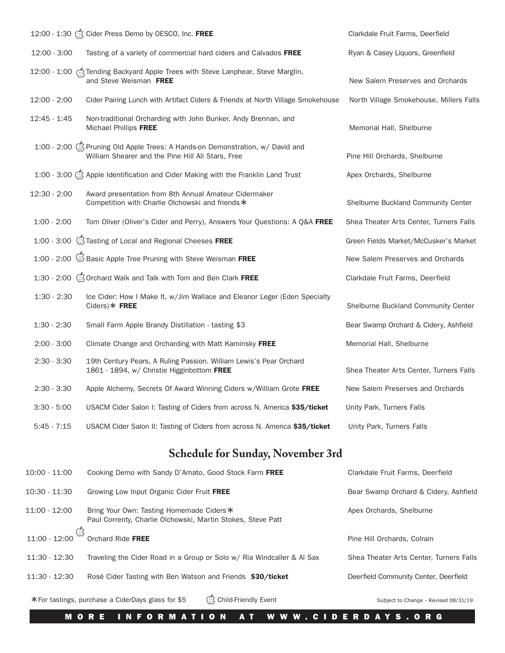|               | 12:00 - 1:30 Cider Press Demo by OESCO, Inc. FREE                                                                                        | Clarkdale Fruit Farms, Deerfield        |
|---------------|------------------------------------------------------------------------------------------------------------------------------------------|-----------------------------------------|
| 12:00 - 3:00  | Tasting of a variety of commercial hard ciders and Calvados FREE                                                                         | Ryan & Casey Liquors, Greenfield        |
|               | 12:00 - 1:00 C Tending Backyard Apple Trees with Steve Lanphear, Steve Marglin,<br>and Steve Weisman FREE                                | New Salem Preserves and Orchards        |
| 12:00 - 2:00  | Cider Pairing Lunch with Artifact Ciders & Friends at North Village Smokehouse                                                           | North Village Smokehouse, Millers Falls |
| 12:45 - 1:45  | Non-traditional Orcharding with John Bunker, Andy Brennan, and<br>Michael Phillips FREE                                                  | Memorial Hall, Shelburne                |
|               | 1:00 - 2:00 $\circ$ Pruning Old Apple Trees: A Hands-on Demonstration, w/ David and<br>William Shearer and the Pine Hill All Stars, Free | Pine Hill Orchards, Shelburne           |
|               | 1:00 - 3:00 Apple Identification and Cider Making with the Franklin Land Trust                                                           | Apex Orchards, Shelburne                |
| 12:30 - 2:00  | Award presentation from 8th Annual Amateur Cidermaker<br>Competition with Charlie Olchowski and friends *                                | Shelburne Buckland Community Center     |
| $1:00 - 2:00$ | Tom Oliver (Oliver's Cider and Perry), Answers Your Questions: A Q&A FREE                                                                | Shea Theater Arts Center, Turners Falls |
|               | 1:00 - 3:00 STasting of Local and Regional Cheeses FREE                                                                                  | Green Fields Market/McCusker's Market   |
|               | 1:00 - 2:00 Sasic Apple Tree Pruning with Steve Weisman FREE                                                                             | New Salem Preserves and Orchards        |
|               | 1:30 - 2:00 Orchard Walk and Talk with Tom and Ben Clark FREE                                                                            | Clarkdale Fruit Farms, Deerfield        |
| $1:30 - 2:30$ | Ice Cider: How I Make It, w/Jim Wallace and Eleanor Leger (Eden Specialty<br>$Ciders$ $*$ FREE                                           | Shelburne Buckland Community Center     |
| $1:30 - 2:30$ | Small Farm Apple Brandy Distillation - tasting \$3                                                                                       | Bear Swamp Orchard & Cidery, Ashfield   |
| $2:00 - 3:00$ | Climate Change and Orcharding with Matt Kaminsky FREE                                                                                    | Memorial Hall, Shelburne                |
| $2:30 - 3:30$ | 19th Century Pears, A Ruling Passion. William Lewis's Pear Orchard<br>1861 - 1894, w/ Christie Higginbottom FREE                         | Shea Theater Arts Center, Turners Falls |
| $2:30 - 3:30$ | Apple Alchemy, Secrets Of Award Winning Ciders w/William Grote FREE                                                                      | New Salem Preserves and Orchards        |
| 3:30 - 5:00   | USACM Cider Salon I: Tasting of Ciders from across N. America \$35/ticket                                                                | Unity Park, Turners Falls               |
| $5:45 - 7:15$ | USACM Cider Salon II: Tasting of Ciders from across N. America \$35/ticket                                                               | Unity Park, Turners Falls               |
|               |                                                                                                                                          |                                         |

## **Schedule for Sunday, November 3rd**

| $10:00 - 11:00$                       | Cooking Demo with Sandy D'Amato, Good Stock Farm FREE                                                    | Clarkdale Fruit Farms, Deerfield        |
|---------------------------------------|----------------------------------------------------------------------------------------------------------|-----------------------------------------|
| $10:30 - 11:30$                       | Growing Low Input Organic Cider Fruit FREE                                                               | Bear Swamp Orchard & Cidery, Ashfield   |
| $11:00 - 12:00$                       | Bring Your Own: Tasting Homemade Ciders *<br>Paul Correnty, Charlie Olchowski, Martin Stokes, Steve Patt | Apex Orchards, Shelburne                |
| $\dot{\mathbb{C}}$<br>$11:00 - 12:00$ | Orchard Ride FREE                                                                                        | Pine Hill Orchards, Colrain             |
| 11:30 - 12:30                         | Traveling the Cider Road in a Group or Solo w/ Ria Windcaller & Al Sax                                   | Shea Theater Arts Center, Turners Falls |
| 11:30 - 12:30                         | Rosé Cider Tasting with Ben Watson and Friends \$30/ticket                                               | Deerfield Community Center, Deerfield   |
|                                       | Child-Friendly Event<br>*For tastings, purchase a CiderDays glass for \$5                                | Subject to Change - Revised 08/31/19    |

MORE INFORMATION AT WWW.CIDERDAYS.ORG